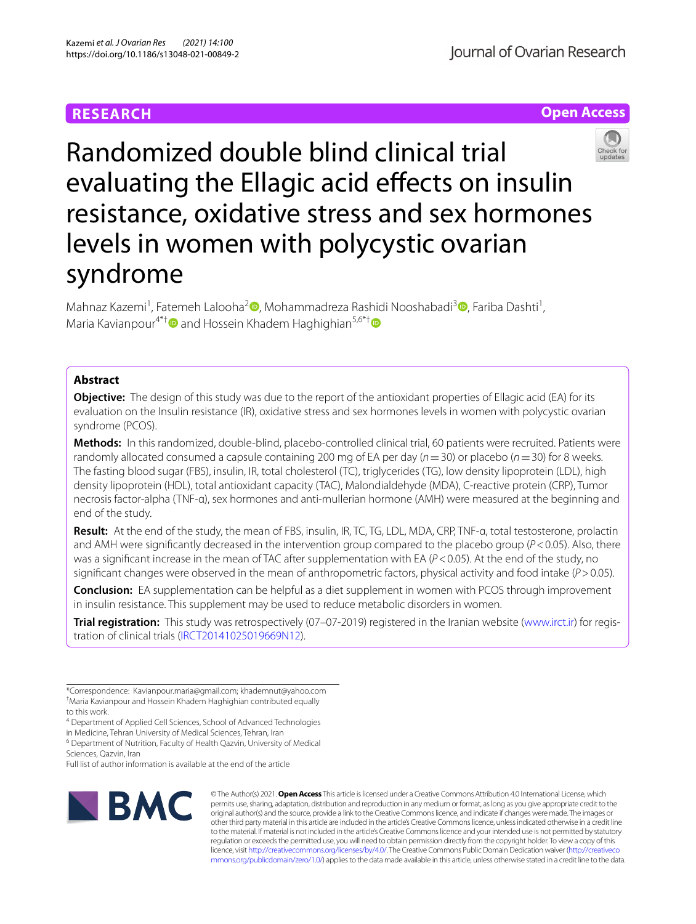# **RESEARCH**





Mahnaz Kazemi<sup>1</sup>[,](http://orcid.org/0000-0003-4241-7958) Fatemeh Lalooha<sup>2</sup> [,](http://orcid.org/0000-0002-1707-0094) Mohammadreza Rashidi Nooshabadi<sup>3</sup> , Fariba Dashti<sup>1</sup>, Maria Kavianpour<sup>4\*[†](http://orcid.org/0000-0002-7445-1846)</sup> and Hossein Khadem Haghighian<sup>5,6\*†</sup>

# **Abstract**

**Objective:** The design of this study was due to the report of the antioxidant properties of Ellagic acid (EA) for its evaluation on the Insulin resistance (IR), oxidative stress and sex hormones levels in women with polycystic ovarian syndrome (PCOS).

**Methods:** In this randomized, double-blind, placebo-controlled clinical trial, 60 patients were recruited. Patients were randomly allocated consumed a capsule containing 200 mg of EA per day (*n*=30) or placebo (*n*=30) for 8 weeks. The fasting blood sugar (FBS), insulin, IR, total cholesterol (TC), triglycerides (TG), low density lipoprotein (LDL), high density lipoprotein (HDL), total antioxidant capacity (TAC), Malondialdehyde (MDA), C-reactive protein (CRP), Tumor necrosis factor-alpha (TNF-α), sex hormones and anti-mullerian hormone (AMH) were measured at the beginning and end of the study.

**Result:** At the end of the study, the mean of FBS, insulin, IR, TC, TG, LDL, MDA, CRP, TNF-α, total testosterone, prolactin and AMH were signifcantly decreased in the intervention group compared to the placebo group (*P*<0.05). Also, there was a significant increase in the mean of TAC after supplementation with EA ( $P$ <0.05). At the end of the study, no signifcant changes were observed in the mean of anthropometric factors, physical activity and food intake (*P*>0.05).

**Conclusion:** EA supplementation can be helpful as a diet supplement in women with PCOS through improvement in insulin resistance. This supplement may be used to reduce metabolic disorders in women.

**Trial registration:** This study was retrospectively (07–07-2019) registered in the Iranian website ([www.irct.ir](http://www.irct.ir)) for registration of clinical trials ([IRCT20141025019669N12](https://en.irct.ir/trial/39654)).

4 Department of Applied Cell Sciences, School of Advanced Technologies in Medicine, Tehran University of Medical Sciences, Tehran, Iran

<sup>6</sup> Department of Nutrition, Faculty of Health Qazvin, University of Medical Sciences, Qazvin, Iran

Full list of author information is available at the end of the article



© The Author(s) 2021. **Open Access** This article is licensed under a Creative Commons Attribution 4.0 International License, which permits use, sharing, adaptation, distribution and reproduction in any medium or format, as long as you give appropriate credit to the original author(s) and the source, provide a link to the Creative Commons licence, and indicate if changes were made. The images or other third party material in this article are included in the article's Creative Commons licence, unless indicated otherwise in a credit line to the material. If material is not included in the article's Creative Commons licence and your intended use is not permitted by statutory regulation or exceeds the permitted use, you will need to obtain permission directly from the copyright holder. To view a copy of this licence, visit [http://creativecommons.org/licenses/by/4.0/.](http://creativecommons.org/licenses/by/4.0/) The Creative Commons Public Domain Dedication waiver ([http://creativeco](http://creativecommons.org/publicdomain/zero/1.0/) [mmons.org/publicdomain/zero/1.0/](http://creativecommons.org/publicdomain/zero/1.0/)) applies to the data made available in this article, unless otherwise stated in a credit line to the data.

<sup>\*</sup>Correspondence: Kavianpour.maria@gmail.com; khademnut@yahoo.com † Maria Kavianpour and Hossein Khadem Haghighian contributed equally to this work.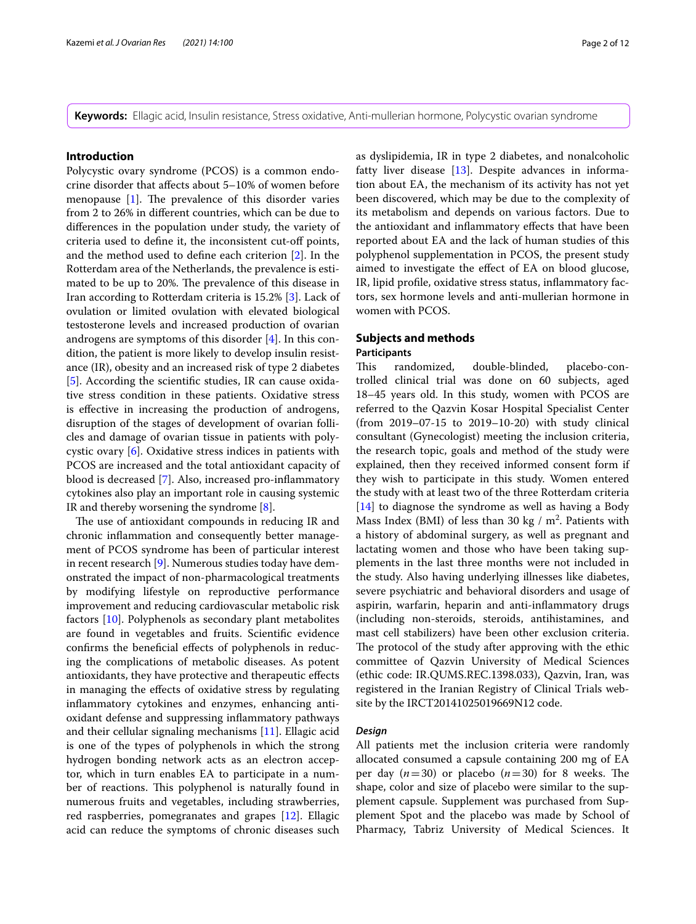**Keywords:** Ellagic acid, Insulin resistance, Stress oxidative, Anti-mullerian hormone, Polycystic ovarian syndrome

### **Introduction**

Polycystic ovary syndrome (PCOS) is a common endocrine disorder that afects about 5–10% of women before menopause  $[1]$  $[1]$ . The prevalence of this disorder varies from 2 to 26% in diferent countries, which can be due to diferences in the population under study, the variety of criteria used to defne it, the inconsistent cut-of points, and the method used to defne each criterion [\[2](#page-10-1)]. In the Rotterdam area of the Netherlands, the prevalence is estimated to be up to 20%. The prevalence of this disease in Iran according to Rotterdam criteria is 15.2% [\[3](#page-10-2)]. Lack of ovulation or limited ovulation with elevated biological testosterone levels and increased production of ovarian androgens are symptoms of this disorder [\[4\]](#page-10-3). In this condition, the patient is more likely to develop insulin resistance (IR), obesity and an increased risk of type 2 diabetes [[5\]](#page-10-4). According the scientifc studies, IR can cause oxidative stress condition in these patients. Oxidative stress is efective in increasing the production of androgens, disruption of the stages of development of ovarian follicles and damage of ovarian tissue in patients with polycystic ovary [\[6\]](#page-10-5). Oxidative stress indices in patients with PCOS are increased and the total antioxidant capacity of blood is decreased [[7\]](#page-10-6). Also, increased pro-infammatory cytokines also play an important role in causing systemic IR and thereby worsening the syndrome [\[8](#page-10-7)].

The use of antioxidant compounds in reducing IR and chronic infammation and consequently better management of PCOS syndrome has been of particular interest in recent research [[9\]](#page-10-8). Numerous studies today have demonstrated the impact of non-pharmacological treatments by modifying lifestyle on reproductive performance improvement and reducing cardiovascular metabolic risk factors [[10\]](#page-10-9). Polyphenols as secondary plant metabolites are found in vegetables and fruits. Scientifc evidence confrms the benefcial efects of polyphenols in reducing the complications of metabolic diseases. As potent antioxidants, they have protective and therapeutic efects in managing the efects of oxidative stress by regulating infammatory cytokines and enzymes, enhancing antioxidant defense and suppressing infammatory pathways and their cellular signaling mechanisms [[11\]](#page-10-10). Ellagic acid is one of the types of polyphenols in which the strong hydrogen bonding network acts as an electron acceptor, which in turn enables EA to participate in a number of reactions. This polyphenol is naturally found in numerous fruits and vegetables, including strawberries, red raspberries, pomegranates and grapes [[12\]](#page-10-11). Ellagic acid can reduce the symptoms of chronic diseases such as dyslipidemia, IR in type 2 diabetes, and nonalcoholic fatty liver disease [\[13](#page-10-12)]. Despite advances in information about EA, the mechanism of its activity has not yet been discovered, which may be due to the complexity of its metabolism and depends on various factors. Due to the antioxidant and infammatory efects that have been reported about EA and the lack of human studies of this polyphenol supplementation in PCOS, the present study aimed to investigate the efect of EA on blood glucose, IR, lipid profle, oxidative stress status, infammatory factors, sex hormone levels and anti-mullerian hormone in women with PCOS.

# **Subjects and methods**

### **Participants**

This randomized, double-blinded, placebo-controlled clinical trial was done on 60 subjects, aged 18–45 years old. In this study, women with PCOS are referred to the Qazvin Kosar Hospital Specialist Center (from 2019–07-15 to 2019–10-20) with study clinical consultant (Gynecologist) meeting the inclusion criteria, the research topic, goals and method of the study were explained, then they received informed consent form if they wish to participate in this study. Women entered the study with at least two of the three Rotterdam criteria [[14\]](#page-10-13) to diagnose the syndrome as well as having a Body Mass Index (BMI) of less than 30 kg /  $m^2$ . Patients with a history of abdominal surgery, as well as pregnant and lactating women and those who have been taking supplements in the last three months were not included in the study. Also having underlying illnesses like diabetes, severe psychiatric and behavioral disorders and usage of aspirin, warfarin, heparin and anti-infammatory drugs (including non-steroids, steroids, antihistamines, and mast cell stabilizers) have been other exclusion criteria. The protocol of the study after approving with the ethic committee of Qazvin University of Medical Sciences (ethic code: IR.QUMS.REC.1398.033), Qazvin, Iran, was registered in the Iranian Registry of Clinical Trials website by the IRCT20141025019669N12 code.

## *Design*

All patients met the inclusion criteria were randomly allocated consumed a capsule containing 200 mg of EA per day  $(n=30)$  or placebo  $(n=30)$  for 8 weeks. The shape, color and size of placebo were similar to the supplement capsule. Supplement was purchased from Supplement Spot and the placebo was made by School of Pharmacy, Tabriz University of Medical Sciences. It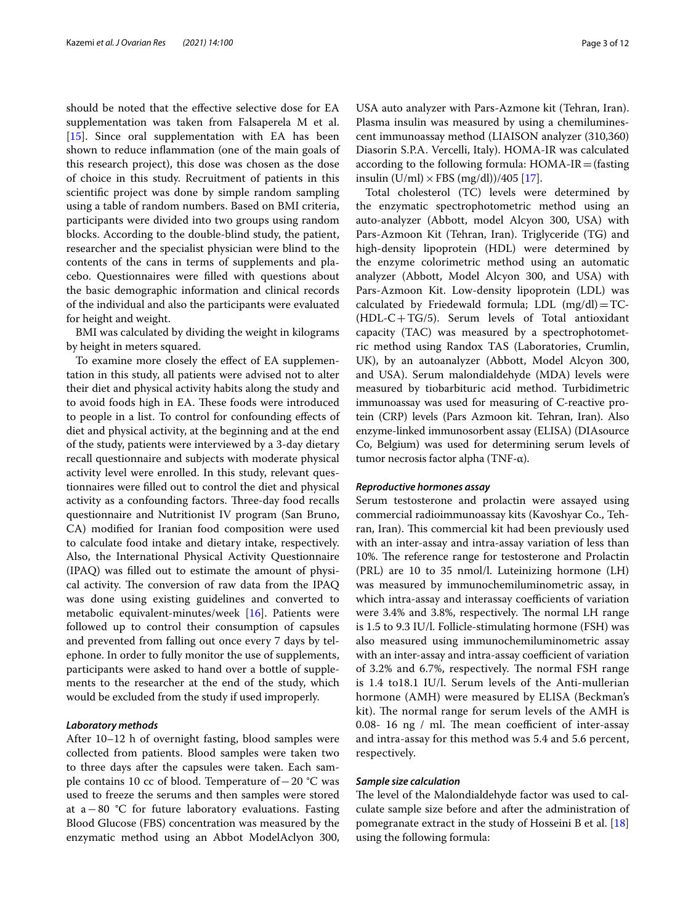should be noted that the efective selective dose for EA supplementation was taken from Falsaperela M et al. [[15\]](#page-10-14). Since oral supplementation with EA has been shown to reduce infammation (one of the main goals of this research project), this dose was chosen as the dose of choice in this study. Recruitment of patients in this scientifc project was done by simple random sampling using a table of random numbers. Based on BMI criteria, participants were divided into two groups using random blocks. According to the double-blind study, the patient, researcher and the specialist physician were blind to the contents of the cans in terms of supplements and placebo. Questionnaires were flled with questions about the basic demographic information and clinical records of the individual and also the participants were evaluated for height and weight.

BMI was calculated by dividing the weight in kilograms by height in meters squared.

To examine more closely the efect of EA supplementation in this study, all patients were advised not to alter their diet and physical activity habits along the study and to avoid foods high in EA. These foods were introduced to people in a list. To control for confounding efects of diet and physical activity, at the beginning and at the end of the study, patients were interviewed by a 3-day dietary recall questionnaire and subjects with moderate physical activity level were enrolled. In this study, relevant questionnaires were flled out to control the diet and physical activity as a confounding factors. Three-day food recalls questionnaire and Nutritionist IV program (San Bruno, CA) modifed for Iranian food composition were used to calculate food intake and dietary intake, respectively. Also, the International Physical Activity Questionnaire (IPAQ) was flled out to estimate the amount of physical activity. The conversion of raw data from the IPAQ was done using existing guidelines and converted to metabolic equivalent-minutes/week [\[16](#page-10-15)]. Patients were followed up to control their consumption of capsules and prevented from falling out once every 7 days by telephone. In order to fully monitor the use of supplements, participants were asked to hand over a bottle of supplements to the researcher at the end of the study, which would be excluded from the study if used improperly.

### *Laboratory methods*

After 10–12 h of overnight fasting, blood samples were collected from patients. Blood samples were taken two to three days after the capsules were taken. Each sample contains 10 cc of blood. Temperature of−20 °C was used to freeze the serums and then samples were stored at a−80 °C for future laboratory evaluations. Fasting Blood Glucose (FBS) concentration was measured by the enzymatic method using an Abbot ModelAclyon 300,

USA auto analyzer with Pars-Azmone kit (Tehran, Iran). Plasma insulin was measured by using a chemiluminescent immunoassay method (LIAISON analyzer (310,360) Diasorin S.P.A. Vercelli, Italy). HOMA-IR was calculated according to the following formula:  $HOMA-IR =$ (fasting insulin  $(U/ml) \times FBS (mg/dl)$ )/405 [\[17](#page-10-16)].

Total cholesterol (TC) levels were determined by the enzymatic spectrophotometric method using an auto-analyzer (Abbott, model Alcyon 300, USA) with Pars-Azmoon Kit (Tehran, Iran). Triglyceride (TG) and high-density lipoprotein (HDL) were determined by the enzyme colorimetric method using an automatic analyzer (Abbott, Model Alcyon 300, and USA) with Pars-Azmoon Kit. Low-density lipoprotein (LDL) was calculated by Friedewald formula; LDL  $(mg/dl)=TC-$ (HDL-C+TG/5). Serum levels of Total antioxidant capacity (TAC) was measured by a spectrophotometric method using Randox TAS (Laboratories, Crumlin, UK), by an autoanalyzer (Abbott, Model Alcyon 300, and USA). Serum malondialdehyde (MDA) levels were measured by tiobarbituric acid method. Turbidimetric immunoassay was used for measuring of C-reactive protein (CRP) levels (Pars Azmoon kit. Tehran, Iran). Also enzyme-linked immunosorbent assay (ELISA) (DIAsource Co, Belgium) was used for determining serum levels of tumor necrosis factor alpha (TNF-α).

#### *Reproductive hormones assay*

Serum testosterone and prolactin were assayed using commercial radioimmunoassay kits (Kavoshyar Co., Tehran, Iran). This commercial kit had been previously used with an inter-assay and intra-assay variation of less than 10%. The reference range for testosterone and Prolactin (PRL) are 10 to 35 nmol/l. Luteinizing hormone (LH) was measured by immunochemiluminometric assay, in which intra-assay and interassay coefficients of variation were 3.4% and 3.8%, respectively. The normal LH range is 1.5 to 9.3 IU/l. Follicle-stimulating hormone (FSH) was also measured using immunochemiluminometric assay with an inter-assay and intra-assay coefficient of variation of 3.2% and 6.7%, respectively. The normal FSH range is 1.4 to18.1 IU/l. Serum levels of the Anti-mullerian hormone (AMH) were measured by ELISA (Beckman's kit). The normal range for serum levels of the AMH is 0.08- 16  $\text{ng}$  / ml. The mean coefficient of inter-assay and intra-assay for this method was 5.4 and 5.6 percent, respectively.

### *Sample size calculation*

The level of the Malondialdehyde factor was used to calculate sample size before and after the administration of pomegranate extract in the study of Hosseini B et al. [[18](#page-10-17)] using the following formula: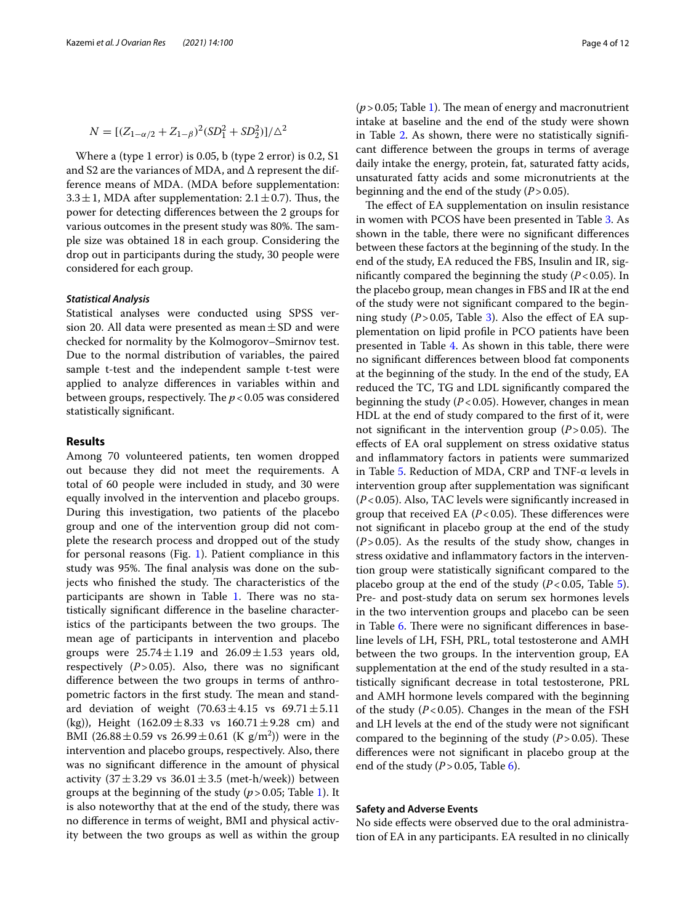$$
N = [(Z_{1-\alpha/2} + Z_{1-\beta})^2(SD_1^2 + SD_2^2)]/\Delta^2
$$

Where a (type 1 error) is 0.05, b (type 2 error) is 0.2, S1 and S2 are the variances of MDA, and ∆ represent the difference means of MDA. (MDA before supplementation: 3.3  $\pm$  1, MDA after supplementation: 2.1  $\pm$  0.7). Thus, the power for detecting diferences between the 2 groups for various outcomes in the present study was 80%. The sample size was obtained 18 in each group. Considering the drop out in participants during the study, 30 people were considered for each group.

### *Statistical Analysis*

Statistical analyses were conducted using SPSS version 20. All data were presented as mean  $\pm$  SD and were checked for normality by the Kolmogorov–Smirnov test. Due to the normal distribution of variables, the paired sample t-test and the independent sample t-test were applied to analyze diferences in variables within and between groups, respectively. The  $p < 0.05$  was considered statistically signifcant.

### **Results**

Among 70 volunteered patients, ten women dropped out because they did not meet the requirements. A total of 60 people were included in study, and 30 were equally involved in the intervention and placebo groups. During this investigation, two patients of the placebo group and one of the intervention group did not complete the research process and dropped out of the study for personal reasons (Fig. [1\)](#page-4-0). Patient compliance in this study was 95%. The final analysis was done on the subjects who finished the study. The characteristics of the participants are shown in Table [1](#page-5-0). There was no statistically signifcant diference in the baseline characteristics of the participants between the two groups. The mean age of participants in intervention and placebo groups were  $25.74 \pm 1.19$  and  $26.09 \pm 1.53$  years old, respectively  $(P > 0.05)$ . Also, there was no significant diference between the two groups in terms of anthropometric factors in the first study. The mean and standard deviation of weight  $(70.63 \pm 4.15 \text{ vs } 69.71 \pm 5.11)$ (kg)), Height  $(162.09 \pm 8.33 \text{ vs } 160.71 \pm 9.28 \text{ cm})$  and BMI  $(26.88 \pm 0.59 \text{ vs } 26.99 \pm 0.61 \text{ (K g/m}^2))$  were in the intervention and placebo groups, respectively. Also, there was no signifcant diference in the amount of physical activity  $(37 \pm 3.29 \text{ vs } 36.01 \pm 3.5 \text{ (met-h/week)})$  between groups at the beginning of the study (*p*>0.05; Table [1](#page-5-0)). It is also noteworthy that at the end of the study, there was no diference in terms of weight, BMI and physical activity between the two groups as well as within the group

 $(p > 0.05;$  Table [1\)](#page-5-0). The mean of energy and macronutrient intake at baseline and the end of the study were shown in Table [2.](#page-6-0) As shown, there were no statistically signifcant diference between the groups in terms of average daily intake the energy, protein, fat, saturated fatty acids, unsaturated fatty acids and some micronutrients at the beginning and the end of the study (*P*>0.05).

The effect of EA supplementation on insulin resistance in women with PCOS have been presented in Table [3.](#page-7-0) As shown in the table, there were no signifcant diferences between these factors at the beginning of the study. In the end of the study, EA reduced the FBS, Insulin and IR, significantly compared the beginning the study  $(P<0.05)$ . In the placebo group, mean changes in FBS and IR at the end of the study were not signifcant compared to the beginning study  $(P > 0.05$ , Table [3\)](#page-7-0). Also the effect of EA supplementation on lipid profle in PCO patients have been presented in Table [4.](#page-7-1) As shown in this table, there were no signifcant diferences between blood fat components at the beginning of the study. In the end of the study, EA reduced the TC, TG and LDL signifcantly compared the beginning the study (*P*<0.05). However, changes in mean HDL at the end of study compared to the first of it, were not significant in the intervention group  $(P > 0.05)$ . The efects of EA oral supplement on stress oxidative status and infammatory factors in patients were summarized in Table [5](#page-8-0). Reduction of MDA, CRP and TNF-α levels in intervention group after supplementation was signifcant (*P*<0.05). Also, TAC levels were signifcantly increased in group that received EA  $(P< 0.05)$ . These differences were not signifcant in placebo group at the end of the study (*P*>0.05). As the results of the study show, changes in stress oxidative and infammatory factors in the intervention group were statistically signifcant compared to the placebo group at the end of the study  $(P<0.05$  $(P<0.05$ , Table 5). Pre- and post-study data on serum sex hormones levels in the two intervention groups and placebo can be seen in Table [6.](#page-8-1) There were no significant differences in baseline levels of LH, FSH, PRL, total testosterone and AMH between the two groups. In the intervention group, EA supplementation at the end of the study resulted in a statistically signifcant decrease in total testosterone, PRL and AMH hormone levels compared with the beginning of the study (*P*<0.05). Changes in the mean of the FSH and LH levels at the end of the study were not signifcant compared to the beginning of the study  $(P > 0.05)$ . These diferences were not signifcant in placebo group at the end of the study  $(P > 0.05$ , Table [6\)](#page-8-1).

## **Safety and Adverse Events**

No side efects were observed due to the oral administration of EA in any participants. EA resulted in no clinically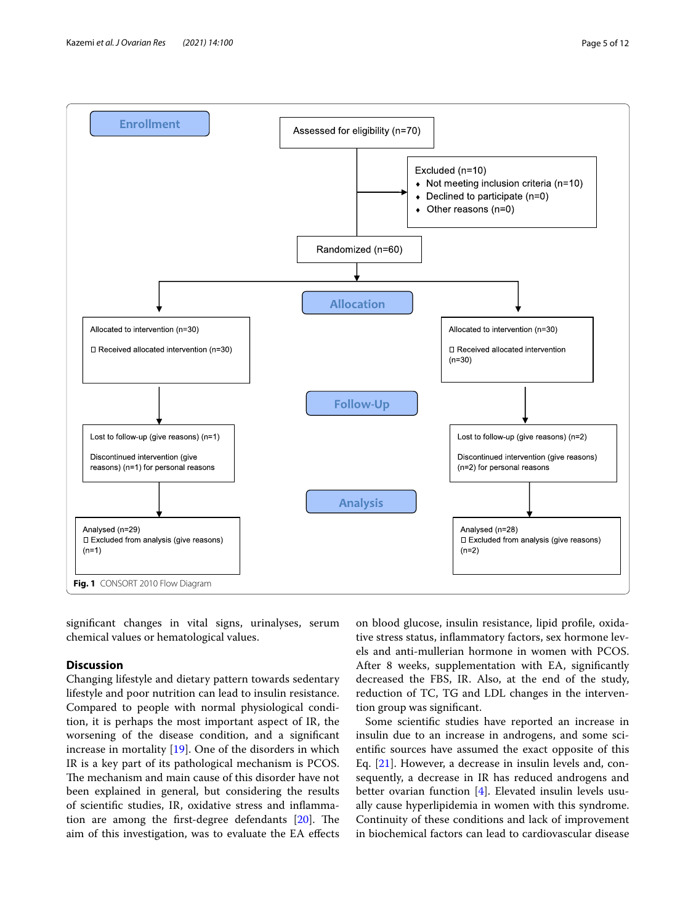

<span id="page-4-0"></span>signifcant changes in vital signs, urinalyses, serum chemical values or hematological values.

# **Discussion**

Changing lifestyle and dietary pattern towards sedentary lifestyle and poor nutrition can lead to insulin resistance. Compared to people with normal physiological condition, it is perhaps the most important aspect of IR, the worsening of the disease condition, and a signifcant increase in mortality [\[19](#page-10-18)]. One of the disorders in which IR is a key part of its pathological mechanism is PCOS. The mechanism and main cause of this disorder have not been explained in general, but considering the results of scientifc studies, IR, oxidative stress and infammation are among the first-degree defendants  $[20]$  $[20]$ . The aim of this investigation, was to evaluate the EA efects

on blood glucose, insulin resistance, lipid profle, oxidative stress status, infammatory factors, sex hormone levels and anti-mullerian hormone in women with PCOS. After 8 weeks, supplementation with EA, signifcantly decreased the FBS, IR. Also, at the end of the study, reduction of TC, TG and LDL changes in the intervention group was signifcant.

Some scientifc studies have reported an increase in insulin due to an increase in androgens, and some scientifc sources have assumed the exact opposite of this Eq. [\[21](#page-10-20)]. However, a decrease in insulin levels and, consequently, a decrease in IR has reduced androgens and better ovarian function [\[4](#page-10-3)]. Elevated insulin levels usually cause hyperlipidemia in women with this syndrome. Continuity of these conditions and lack of improvement in biochemical factors can lead to cardiovascular disease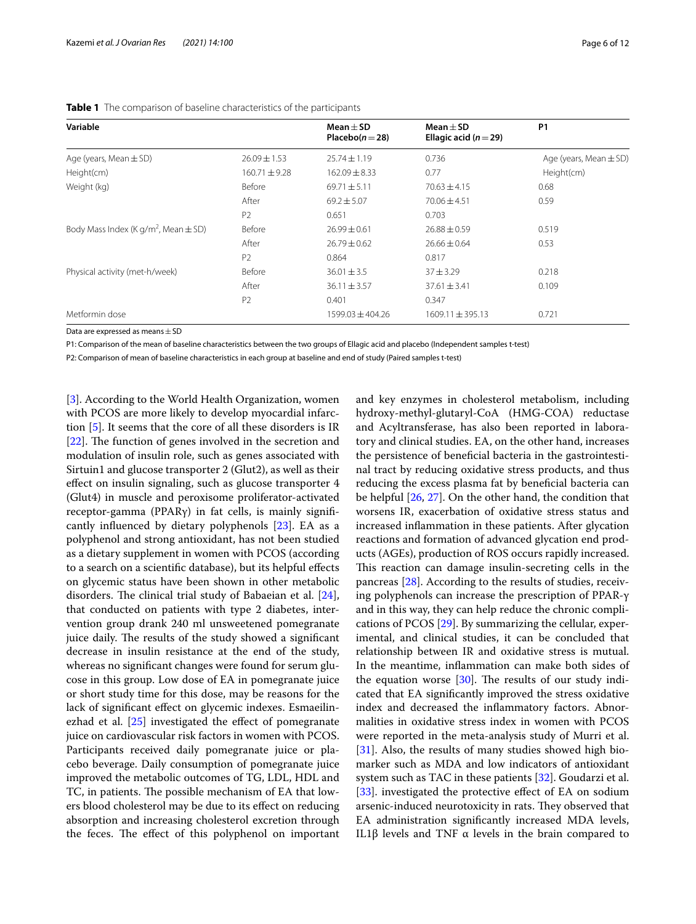| Variable                                             |                   | $Mean + SD$<br>Placebo $(n=28)$ | $Mean + SD$<br>Ellagic acid ( $n = 29$ ) | <b>P1</b>                  |
|------------------------------------------------------|-------------------|---------------------------------|------------------------------------------|----------------------------|
| Age (years, Mean $\pm$ SD)                           | $26.09 \pm 1.53$  | $25.74 \pm 1.19$                | 0.736                                    | Age (years, Mean $\pm$ SD) |
| Height(cm)                                           | $160.71 \pm 9.28$ | $162.09 \pm 8.33$               | 0.77                                     | Height(cm)                 |
| Weight (kg)                                          | Before            | $69.71 \pm 5.11$                | $70.63 \pm 4.15$                         | 0.68                       |
|                                                      | After             | $69.2 \pm 5.07$                 | $70.06 \pm 4.51$                         | 0.59                       |
|                                                      | P <sub>2</sub>    | 0.651                           | 0.703                                    |                            |
| Body Mass Index (K g/m <sup>2</sup> , Mean $\pm$ SD) | Before            | $26.99 \pm 0.61$                | $26.88 \pm 0.59$                         | 0.519                      |
|                                                      | After             | $26.79 \pm 0.62$                | $26.66 \pm 0.64$                         | 0.53                       |
|                                                      | P <sub>2</sub>    | 0.864                           | 0.817                                    |                            |
| Physical activity (met-h/week)                       | Before            | $36.01 \pm 3.5$                 | $37 + 3.29$                              | 0.218                      |
|                                                      | After             | $36.11 \pm 3.57$                | $37.61 \pm 3.41$                         | 0.109                      |
|                                                      | P <sub>2</sub>    | 0.401                           | 0.347                                    |                            |
| Metformin dose                                       |                   | 1599.03 ± 404.26                | $1609.11 \pm 395.13$                     | 0.721                      |

<span id="page-5-0"></span>**Table 1** The comparison of baseline characteristics of the participants

Data are expressed as means  $\pm$  SD

P1: Comparison of the mean of baseline characteristics between the two groups of Ellagic acid and placebo (Independent samples t-test)

P2: Comparison of mean of baseline characteristics in each group at baseline and end of study (Paired samples t-test)

[[3\]](#page-10-2). According to the World Health Organization, women with PCOS are more likely to develop myocardial infarction [\[5](#page-10-4)]. It seems that the core of all these disorders is IR [ $22$ ]. The function of genes involved in the secretion and modulation of insulin role, such as genes associated with Sirtuin1 and glucose transporter 2 (Glut2), as well as their efect on insulin signaling, such as glucose transporter 4 (Glut4) in muscle and peroxisome proliferator-activated receptor-gamma (PPARγ) in fat cells, is mainly signifcantly infuenced by dietary polyphenols [[23\]](#page-10-22). EA as a polyphenol and strong antioxidant, has not been studied as a dietary supplement in women with PCOS (according to a search on a scientifc database), but its helpful efects on glycemic status have been shown in other metabolic disorders. The clinical trial study of Babaeian et al.  $[24]$  $[24]$ , that conducted on patients with type 2 diabetes, intervention group drank 240 ml unsweetened pomegranate juice daily. The results of the study showed a significant decrease in insulin resistance at the end of the study, whereas no signifcant changes were found for serum glucose in this group. Low dose of EA in pomegranate juice or short study time for this dose, may be reasons for the lack of signifcant efect on glycemic indexes. Esmaeilinezhad et al.  $[25]$  $[25]$  investigated the effect of pomegranate juice on cardiovascular risk factors in women with PCOS. Participants received daily pomegranate juice or placebo beverage. Daily consumption of pomegranate juice improved the metabolic outcomes of TG, LDL, HDL and TC, in patients. The possible mechanism of EA that lowers blood cholesterol may be due to its efect on reducing absorption and increasing cholesterol excretion through the feces. The effect of this polyphenol on important

and key enzymes in cholesterol metabolism, including hydroxy-methyl-glutaryl-CoA (HMG-COA) reductase and Acyltransferase, has also been reported in laboratory and clinical studies. EA, on the other hand, increases the persistence of benefcial bacteria in the gastrointestinal tract by reducing oxidative stress products, and thus reducing the excess plasma fat by benefcial bacteria can be helpful [\[26](#page-10-25), [27\]](#page-10-26). On the other hand, the condition that worsens IR, exacerbation of oxidative stress status and increased infammation in these patients. After glycation reactions and formation of advanced glycation end products (AGEs), production of ROS occurs rapidly increased. This reaction can damage insulin-secreting cells in the pancreas [[28\]](#page-10-27). According to the results of studies, receiving polyphenols can increase the prescription of PPAR-γ and in this way, they can help reduce the chronic complications of PCOS [\[29](#page-10-28)]. By summarizing the cellular, experimental, and clinical studies, it can be concluded that relationship between IR and oxidative stress is mutual. In the meantime, infammation can make both sides of the equation worse  $[30]$ . The results of our study indicated that EA signifcantly improved the stress oxidative index and decreased the infammatory factors. Abnormalities in oxidative stress index in women with PCOS were reported in the meta-analysis study of Murri et al. [[31\]](#page-10-30). Also, the results of many studies showed high biomarker such as MDA and low indicators of antioxidant system such as TAC in these patients [[32\]](#page-10-31). Goudarzi et al. [[33\]](#page-10-32). investigated the protective effect of EA on sodium arsenic-induced neurotoxicity in rats. They observed that EA administration signifcantly increased MDA levels, IL1β levels and TNF α levels in the brain compared to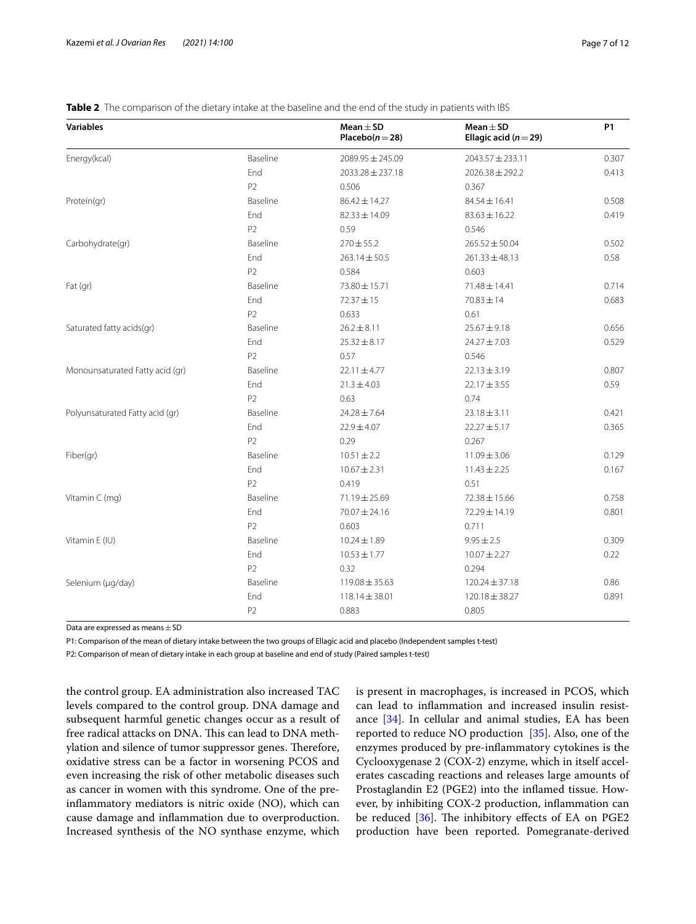<span id="page-6-0"></span>

|  |  |  | Table 2 The comparison of the dietary intake at the baseline and the end of the study in patients with IBS |  |
|--|--|--|------------------------------------------------------------------------------------------------------------|--|
|  |  |  |                                                                                                            |  |

| <b>Variables</b>                |                | Mean $\pm$ SD<br>Placebo $(n=28)$ | $Mean \pm SD$<br>Ellagic acid ( $n = 29$ ) | <b>P1</b> |
|---------------------------------|----------------|-----------------------------------|--------------------------------------------|-----------|
| Energy(kcal)                    | Baseline       | 2089.95 ± 245.09                  | 2043.57 ± 233.11                           | 0.307     |
|                                 | End            | 2033.28 ± 237.18                  | $2026.38 \pm 292.2$                        | 0.413     |
|                                 | P <sub>2</sub> | 0.506                             | 0.367                                      |           |
| Protein(gr)                     | Baseline       | 86.42 ± 14.27                     | $84.54 \pm 16.41$                          | 0.508     |
|                                 | End            | $82.33 \pm 14.09$                 | $83.63 \pm 16.22$                          | 0.419     |
|                                 | P <sub>2</sub> | 0.59                              | 0.546                                      |           |
| Carbohydrate(gr)                | Baseline       | $270 \pm 55.2$                    | $265.52 \pm 50.04$                         | 0.502     |
|                                 | End            | $263.14 \pm 50.5$                 | $261.33 \pm 48.13$                         | 0.58      |
|                                 | P <sub>2</sub> | 0.584                             | 0.603                                      |           |
| Fat $(qr)$                      | Baseline       | 73.80 ± 15.71                     | 71.48 ± 14.41                              | 0.714     |
|                                 | End            | $72.37 \pm 15$                    | $70.83 \pm 14$                             | 0.683     |
|                                 | P <sub>2</sub> | 0.633                             | 0.61                                       |           |
| Saturated fatty acids(gr)       | Baseline       | $26.2 \pm 8.11$                   | $25.67 \pm 9.18$                           | 0.656     |
|                                 | End            | $25.32 \pm 8.17$                  | $24.27 \pm 7.03$                           | 0.529     |
|                                 | P2             | 0.57                              | 0.546                                      |           |
| Monounsaturated Fatty acid (gr) | Baseline       | $22.11 \pm 4.77$                  | $22.13 \pm 3.19$                           | 0.807     |
|                                 | End            | $21.3 \pm 4.03$                   | $22.17 \pm 3.55$                           | 0.59      |
|                                 | P <sub>2</sub> | 0.63                              | 0.74                                       |           |
| Polyunsaturated Fatty acid (gr) | Baseline       | $24.28 \pm 7.64$                  | $23.18 \pm 3.11$                           | 0.421     |
|                                 | End            | $22.9 \pm 4.07$                   | $22.27 \pm 5.17$                           | 0.365     |
|                                 | P <sub>2</sub> | 0.29                              | 0.267                                      |           |
| Fiber(gr)                       | Baseline       | $10.51 \pm 2.2$                   | $11.09 \pm 3.06$                           | 0.129     |
|                                 | End            | $10.67 \pm 2.31$                  | $11.43 \pm 2.25$                           | 0.167     |
|                                 | P <sub>2</sub> | 0.419                             | 0.51                                       |           |
| Vitamin C (mg)                  | Baseline       | 71.19 ± 25.69                     | 72.38 ± 15.66                              | 0.758     |
|                                 | End            | 70.07 ± 24.16                     | 72.29±14.19                                | 0.801     |
|                                 | P <sub>2</sub> | 0.603                             | 0.711                                      |           |
| Vitamin E (IU)                  | Baseline       | $10.24 \pm 1.89$                  | $9.95 \pm 2.5$                             | 0.309     |
|                                 | End            | $10.53 \pm 1.77$                  | $10.07 \pm 2.27$                           | 0.22      |
|                                 | P <sub>2</sub> | 0.32                              | 0.294                                      |           |
| Selenium (µg/day)               | Baseline       | $119.08 \pm 35.63$                | $120.24 \pm 37.18$                         | 0.86      |
|                                 | End            | $118.14 \pm 38.01$                | 120.18 ± 38.27                             | 0.891     |
|                                 | P <sub>2</sub> | 0.883                             | 0.805                                      |           |

Data are expressed as means  $\pm$  SD

P1: Comparison of the mean of dietary intake between the two groups of Ellagic acid and placebo (Independent samples t-test)

P2: Comparison of mean of dietary intake in each group at baseline and end of study (Paired samples t-test)

the control group. EA administration also increased TAC levels compared to the control group. DNA damage and subsequent harmful genetic changes occur as a result of free radical attacks on DNA. This can lead to DNA methylation and silence of tumor suppressor genes. Therefore, oxidative stress can be a factor in worsening PCOS and even increasing the risk of other metabolic diseases such as cancer in women with this syndrome. One of the preinfammatory mediators is nitric oxide (NO), which can cause damage and infammation due to overproduction. Increased synthesis of the NO synthase enzyme, which is present in macrophages, is increased in PCOS, which can lead to infammation and increased insulin resistance [[34\]](#page-10-33). In cellular and animal studies, EA has been reported to reduce NO production [\[35\]](#page-10-34). Also, one of the enzymes produced by pre-infammatory cytokines is the Cyclooxygenase 2 (COX-2) enzyme, which in itself accelerates cascading reactions and releases large amounts of Prostaglandin E2 (PGE2) into the infamed tissue. However, by inhibiting COX-2 production, infammation can be reduced  $[36]$  $[36]$  $[36]$ . The inhibitory effects of EA on PGE2 production have been reported. Pomegranate-derived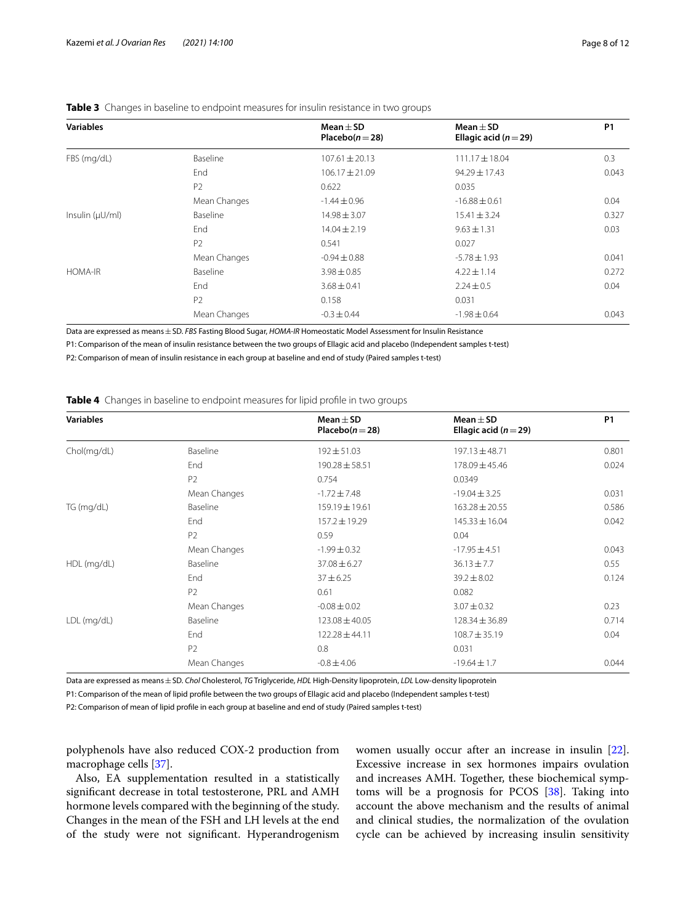| <b>Variables</b>    |                | Mean $\pm$ SD<br>Placebo $(n=28)$ | $Mean + SD$<br>Ellagic acid ( $n = 29$ ) | <b>P1</b> |
|---------------------|----------------|-----------------------------------|------------------------------------------|-----------|
| FBS (mg/dL)         | Baseline       | $107.61 \pm 20.13$                | $111.17 \pm 18.04$                       | 0.3       |
|                     | End            | $106.17 \pm 21.09$                | $94.29 \pm 17.43$                        | 0.043     |
|                     | P <sub>2</sub> | 0.622                             | 0.035                                    |           |
|                     | Mean Changes   | $-1.44 \pm 0.96$                  | $-16.88 \pm 0.61$                        | 0.04      |
| Insulin $(\mu U/m)$ | Baseline       | $14.98 \pm 3.07$                  | $15.41 \pm 3.24$                         | 0.327     |
|                     | End            | $14.04 \pm 2.19$                  | $9.63 \pm 1.31$                          | 0.03      |
|                     | P <sub>2</sub> | 0.541                             | 0.027                                    |           |
|                     | Mean Changes   | $-0.94 \pm 0.88$                  | $-5.78 \pm 1.93$                         | 0.041     |
| <b>HOMA-IR</b>      | Baseline       | $3.98 \pm 0.85$                   | $4.22 \pm 1.14$                          | 0.272     |
|                     | End            | $3.68 \pm 0.41$                   | $2.24 \pm 0.5$                           | 0.04      |
|                     | P <sub>2</sub> | 0.158                             | 0.031                                    |           |
|                     | Mean Changes   | $-0.3 \pm 0.44$                   | $-1.98 \pm 0.64$                         | 0.043     |
|                     |                |                                   |                                          |           |

## <span id="page-7-0"></span>**Table 3** Changes in baseline to endpoint measures for insulin resistance in two groups

Data are expressed as means±SD. *FBS* Fasting Blood Sugar, *HOMA-IR* Homeostatic Model Assessment for Insulin Resistance

P1: Comparison of the mean of insulin resistance between the two groups of Ellagic acid and placebo (Independent samples t-test)

P2: Comparison of mean of insulin resistance in each group at baseline and end of study (Paired samples t-test)

<span id="page-7-1"></span>

|  |  | <b>Table 4</b> Changes in baseline to endpoint measures for lipid profile in two groups |  |  |  |  |  |  |  |
|--|--|-----------------------------------------------------------------------------------------|--|--|--|--|--|--|--|
|--|--|-----------------------------------------------------------------------------------------|--|--|--|--|--|--|--|

| <b>Variables</b> |                | Mean $\pm$ SD<br>Placebo $(n=28)$ | Mean $\pm$ SD<br>Ellagic acid ( $n = 29$ ) | <b>P1</b> |
|------------------|----------------|-----------------------------------|--------------------------------------------|-----------|
| Chol(mg/dL)      | Baseline       | $192 \pm 51.03$                   | 197.13 ± 48.71                             | 0.801     |
|                  | End            | $190.28 \pm 58.51$                | $178.09 \pm 45.46$                         | 0.024     |
|                  | P <sub>2</sub> | 0.754                             | 0.0349                                     |           |
|                  | Mean Changes   | $-1.72 \pm 7.48$                  | $-19.04 \pm 3.25$                          | 0.031     |
| TG (mg/dL)       | Baseline       | 159.19 ± 19.61                    | $163.28 \pm 20.55$                         | 0.586     |
|                  | End            | 157.2 ± 19.29                     | $145.33 \pm 16.04$                         | 0.042     |
|                  | P <sub>2</sub> | 0.59                              | 0.04                                       |           |
|                  | Mean Changes   | $-1.99 \pm 0.32$                  | $-17.95 \pm 4.51$                          | 0.043     |
| HDL (mg/dL)      | Baseline       | $37.08 \pm 6.27$                  | $36.13 \pm 7.7$                            | 0.55      |
|                  | End            | $37 + 6.25$                       | $39.2 \pm 8.02$                            | 0.124     |
|                  | P <sub>2</sub> | 0.61                              | 0.082                                      |           |
|                  | Mean Changes   | $-0.08 \pm 0.02$                  | $3.07 \pm 0.32$                            | 0.23      |
| LDL (mg/dL)      | Baseline       | $123.08 \pm 40.05$                | $128.34 \pm 36.89$                         | 0.714     |
|                  | End            | $122.28 \pm 44.11$                | $108.7 \pm 35.19$                          | 0.04      |
|                  | P <sub>2</sub> | 0.8                               | 0.031                                      |           |
|                  | Mean Changes   | $-0.8 \pm 4.06$                   | $-19.64 \pm 1.7$                           | 0.044     |

Data are expressed as means±SD. *Chol* Cholesterol, *TG* Triglyceride, *HDL* High-Density lipoprotein, *LDL* Low-density lipoprotein

P1: Comparison of the mean of lipid profle between the two groups of Ellagic acid and placebo (Independent samples t-test)

P2: Comparison of mean of lipid profle in each group at baseline and end of study (Paired samples t-test)

polyphenols have also reduced COX-2 production from macrophage cells [[37](#page-10-36)].

Also, EA supplementation resulted in a statistically signifcant decrease in total testosterone, PRL and AMH hormone levels compared with the beginning of the study. Changes in the mean of the FSH and LH levels at the end of the study were not signifcant. Hyperandrogenism women usually occur after an increase in insulin [\[22](#page-10-21)]. Excessive increase in sex hormones impairs ovulation and increases AMH. Together, these biochemical symptoms will be a prognosis for PCOS [\[38\]](#page-10-37). Taking into account the above mechanism and the results of animal and clinical studies, the normalization of the ovulation cycle can be achieved by increasing insulin sensitivity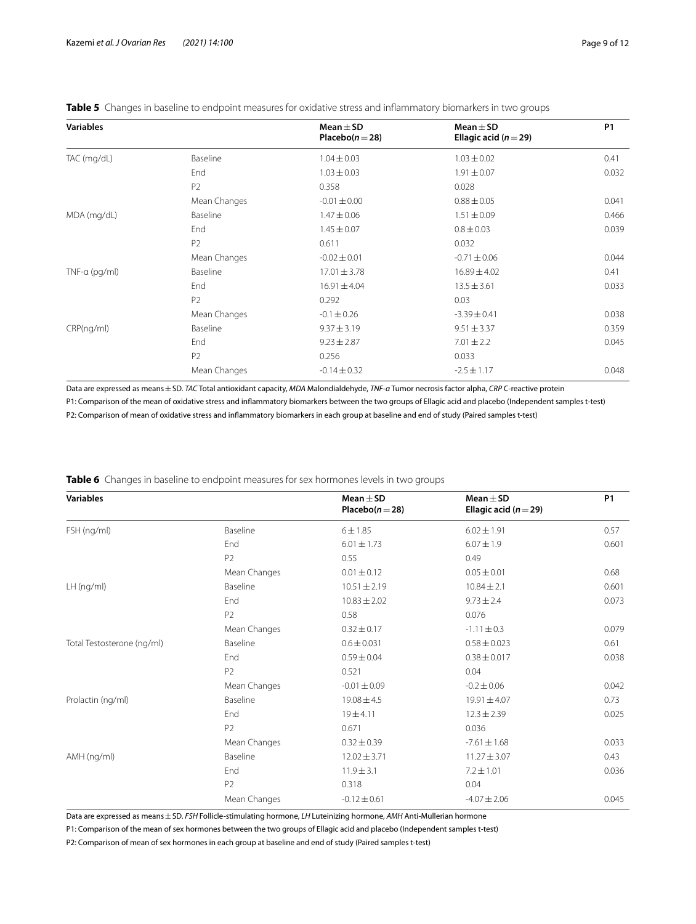| <b>Variables</b> |                | Mean $\pm$ SD<br>Placebo $(n=28)$ | Mean $\pm$ SD<br>Ellagic acid ( $n = 29$ ) | <b>P1</b> |
|------------------|----------------|-----------------------------------|--------------------------------------------|-----------|
| TAC (mg/dL)      | Baseline       | $1.04 \pm 0.03$                   | $1.03 \pm 0.02$                            | 0.41      |
|                  | End            | $1.03 \pm 0.03$                   | $1.91 \pm 0.07$                            | 0.032     |
|                  | P <sub>2</sub> | 0.358                             | 0.028                                      |           |
|                  | Mean Changes   | $-0.01 \pm 0.00$                  | $0.88 \pm 0.05$                            | 0.041     |
| MDA (mg/dL)      | Baseline       | $1.47 \pm 0.06$                   | $1.51 \pm 0.09$                            | 0.466     |
|                  | End            | $1.45 \pm 0.07$                   | $0.8 \pm 0.03$                             | 0.039     |
|                  | P <sub>2</sub> | 0.611                             | 0.032                                      |           |
|                  | Mean Changes   | $-0.02 \pm 0.01$                  | $-0.71 \pm 0.06$                           | 0.044     |
| $TNF-a$ (pg/ml)  | Baseline       | $17.01 \pm 3.78$                  | $16.89 \pm 4.02$                           | 0.41      |
|                  | End            | $16.91 \pm 4.04$                  | $13.5 \pm 3.61$                            | 0.033     |
|                  | P <sub>2</sub> | 0.292                             | 0.03                                       |           |
|                  | Mean Changes   | $-0.1 \pm 0.26$                   | $-3.39 \pm 0.41$                           | 0.038     |
| CRP(ng/ml)       | Baseline       | $9.37 \pm 3.19$                   | $9.51 \pm 3.37$                            | 0.359     |
|                  | End            | $9.23 \pm 2.87$                   | $7.01 \pm 2.2$                             | 0.045     |
|                  | P <sub>2</sub> | 0.256                             | 0.033                                      |           |
|                  | Mean Changes   | $-0.14 \pm 0.32$                  | $-2.5 \pm 1.17$                            | 0.048     |

<span id="page-8-0"></span>**Table 5** Changes in baseline to endpoint measures for oxidative stress and infammatory biomarkers in two groups

Data are expressed as means±SD. *TAC* Total antioxidant capacity, *MDA* Malondialdehyde, *TNF-α* Tumor necrosis factor alpha, *CRP* C-reactive protein P1: Comparison of the mean of oxidative stress and infammatory biomarkers between the two groups of Ellagic acid and placebo (Independent samples t-test) P2: Comparison of mean of oxidative stress and infammatory biomarkers in each group at baseline and end of study (Paired samples t-test)

| <b>Variables</b>           |                | Mean $\pm$ SD<br>Placebo( $n = 28$ ) | Mean $\pm$ SD<br>Ellagic acid ( $n = 29$ ) | <b>P1</b> |
|----------------------------|----------------|--------------------------------------|--------------------------------------------|-----------|
| FSH (ng/ml)                | Baseline       | 6 ± 1.85                             | $6.02 \pm 1.91$                            | 0.57      |
|                            | End            | $6.01 \pm 1.73$                      | $6.07 \pm 1.9$                             | 0.601     |
|                            | P <sub>2</sub> | 0.55                                 | 0.49                                       |           |
|                            | Mean Changes   | $0.01 \pm 0.12$                      | $0.05 \pm 0.01$                            | 0.68      |
| $LH$ (ng/ml)               | Baseline       | $10.51 \pm 2.19$                     | $10.84 \pm 2.1$                            | 0.601     |
|                            | End            | $10.83 \pm 2.02$                     | $9.73 \pm 2.4$                             | 0.073     |
|                            | P <sub>2</sub> | 0.58                                 | 0.076                                      |           |
|                            | Mean Changes   | $0.32 \pm 0.17$                      | $-1.11 \pm 0.3$                            | 0.079     |
| Total Testosterone (ng/ml) | Baseline       | $0.6 \pm 0.031$                      | $0.58 \pm 0.023$                           | 0.61      |
|                            | End            | $0.59 \pm 0.04$                      | $0.38 \pm 0.017$                           | 0.038     |
|                            | P <sub>2</sub> | 0.521                                | 0.04                                       |           |
|                            | Mean Changes   | $-0.01 \pm 0.09$                     | $-0.2 \pm 0.06$                            | 0.042     |
| Prolactin (ng/ml)          | Baseline       | $19.08 \pm 4.5$                      | 19.91±4.07                                 | 0.73      |
|                            | End            | $19 + 4.11$                          | $12.3 \pm 2.39$                            | 0.025     |
|                            | P <sub>2</sub> | 0.671                                | 0.036                                      |           |
|                            | Mean Changes   | $0.32 \pm 0.39$                      | $-7.61 \pm 1.68$                           | 0.033     |
| AMH (ng/ml)                | Baseline       | $12.02 \pm 3.71$                     | $11.27 \pm 3.07$                           | 0.43      |
|                            | End            | $11.9 \pm 3.1$                       | $7.2 \pm 1.01$                             | 0.036     |
|                            | P <sub>2</sub> | 0.318                                | 0.04                                       |           |
|                            | Mean Changes   | $-0.12 \pm 0.61$                     | $-4.07 \pm 2.06$                           | 0.045     |

<span id="page-8-1"></span>**Table 6** Changes in baseline to endpoint measures for sex hormones levels in two groups

Data are expressed as means±SD. *FSH* Follicle-stimulating hormone, *LH* Luteinizing hormone, *AMH* Anti-Mullerian hormone

P1: Comparison of the mean of sex hormones between the two groups of Ellagic acid and placebo (Independent samples t-test)

P2: Comparison of mean of sex hormones in each group at baseline and end of study (Paired samples t-test)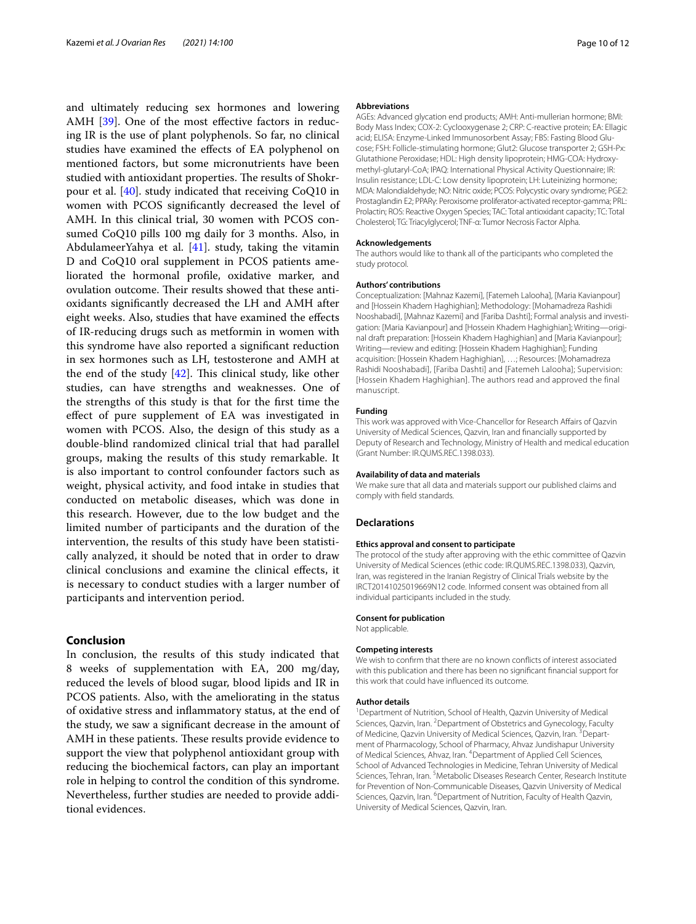and ultimately reducing sex hormones and lowering AMH [[39\]](#page-10-38). One of the most effective factors in reducing IR is the use of plant polyphenols. So far, no clinical studies have examined the efects of EA polyphenol on mentioned factors, but some micronutrients have been studied with antioxidant properties. The results of Shokrpour et al. [[40\]](#page-10-39). study indicated that receiving CoQ10 in women with PCOS signifcantly decreased the level of AMH. In this clinical trial, 30 women with PCOS consumed CoQ10 pills 100 mg daily for 3 months. Also, in AbdulameerYahya et al.  $[41]$  $[41]$  $[41]$ . study, taking the vitamin D and CoQ10 oral supplement in PCOS patients ameliorated the hormonal profle, oxidative marker, and ovulation outcome. Their results showed that these antioxidants signifcantly decreased the LH and AMH after eight weeks. Also, studies that have examined the efects of IR-reducing drugs such as metformin in women with this syndrome have also reported a signifcant reduction in sex hormones such as LH, testosterone and AMH at the end of the study  $[42]$  $[42]$ . This clinical study, like other studies, can have strengths and weaknesses. One of the strengths of this study is that for the frst time the efect of pure supplement of EA was investigated in women with PCOS. Also, the design of this study as a double-blind randomized clinical trial that had parallel groups, making the results of this study remarkable. It is also important to control confounder factors such as weight, physical activity, and food intake in studies that conducted on metabolic diseases, which was done in this research. However, due to the low budget and the limited number of participants and the duration of the intervention, the results of this study have been statistically analyzed, it should be noted that in order to draw clinical conclusions and examine the clinical efects, it is necessary to conduct studies with a larger number of participants and intervention period.

## **Conclusion**

In conclusion, the results of this study indicated that 8 weeks of supplementation with EA, 200 mg/day, reduced the levels of blood sugar, blood lipids and IR in PCOS patients. Also, with the ameliorating in the status of oxidative stress and infammatory status, at the end of the study, we saw a signifcant decrease in the amount of AMH in these patients. These results provide evidence to support the view that polyphenol antioxidant group with reducing the biochemical factors, can play an important role in helping to control the condition of this syndrome. Nevertheless, further studies are needed to provide additional evidences.

#### **Abbreviations**

AGEs: Advanced glycation end products; AMH: Anti-mullerian hormone; BMI: Body Mass Index; COX-2: Cyclooxygenase 2; CRP: C-reactive protein; EA: Ellagic acid; ELISA: Enzyme-Linked Immunosorbent Assay; FBS: Fasting Blood Glucose; FSH: Follicle-stimulating hormone; Glut2: Glucose transporter 2; GSH-Px: Glutathione Peroxidase; HDL: High density lipoprotein; HMG-COA: Hydroxymethyl-glutaryl-CoA; IPAQ: International Physical Activity Questionnaire; IR: Insulin resistance; LDL-C: Low density lipoprotein; LH: Luteinizing hormone; MDA: Malondialdehyde; NO: Nitric oxide; PCOS: Polycystic ovary syndrome; PGE2: Prostaglandin E2; PPARγ: Peroxisome proliferator-activated receptor-gamma; PRL: Prolactin; ROS: Reactive Oxygen Species; TAC: Total antioxidant capacity; TC: Total Cholesterol; TG: Triacylglycerol; TNF-α: Tumor Necrosis Factor Alpha.

#### **Acknowledgements**

The authors would like to thank all of the participants who completed the study protocol.

#### **Authors' contributions**

Conceptualization: [Mahnaz Kazemi], [Fatemeh Lalooha], [Maria Kavianpour] and [Hossein Khadem Haghighian]; Methodology: [Mohamadreza Rashidi Nooshabadi], [Mahnaz Kazemi] and [Fariba Dashti]; Formal analysis and investigation: [Maria Kavianpour] and [Hossein Khadem Haghighian]; Writing—original draft preparation: [Hossein Khadem Haghighian] and [Maria Kavianpour]; Writing—review and editing: [Hossein Khadem Haghighian]; Funding acquisition: [Hossein Khadem Haghighian], …; Resources: [Mohamadreza Rashidi Nooshabadi], [Fariba Dashti] and [Fatemeh Lalooha]; Supervision: [Hossein Khadem Haghighian]. The authors read and approved the final manuscript.

#### **Funding**

This work was approved with Vice-Chancellor for Research Affairs of Qazvin University of Medical Sciences, Qazvin, Iran and fnancially supported by Deputy of Research and Technology, Ministry of Health and medical education (Grant Number: IR.QUMS.REC.1398.033).

#### **Availability of data and materials**

We make sure that all data and materials support our published claims and comply with feld standards.

#### **Declarations**

#### **Ethics approval and consent to participate**

The protocol of the study after approving with the ethic committee of Qazvin University of Medical Sciences (ethic code: IR.QUMS.REC.1398.033), Qazvin, Iran, was registered in the Iranian Registry of Clinical Trials website by the IRCT20141025019669N12 code. Informed consent was obtained from all individual participants included in the study.

# **Consent for publication**

Not applicable.

### **Competing interests**

We wish to confrm that there are no known conficts of interest associated with this publication and there has been no signifcant fnancial support for this work that could have infuenced its outcome.

#### **Author details**

<sup>1</sup> Department of Nutrition, School of Health, Qazvin University of Medical Sciences, Qazvin, Iran. <sup>2</sup> Department of Obstetrics and Gynecology, Faculty of Medicine, Qazvin University of Medical Sciences, Qazvin, Iran. <sup>3</sup> Department of Pharmacology, School of Pharmacy, Ahvaz Jundishapur University of Medical Sciences, Ahvaz, Iran. 4 Department of Applied Cell Sciences, School of Advanced Technologies in Medicine, Tehran University of Medical Sciences, Tehran, Iran. <sup>5</sup> Metabolic Diseases Research Center, Research Institute for Prevention of Non-Communicable Diseases, Qazvin University of Medical Sciences, Qazvin, Iran. <sup>6</sup> Department of Nutrition, Faculty of Health Qazvin, University of Medical Sciences, Qazvin, Iran.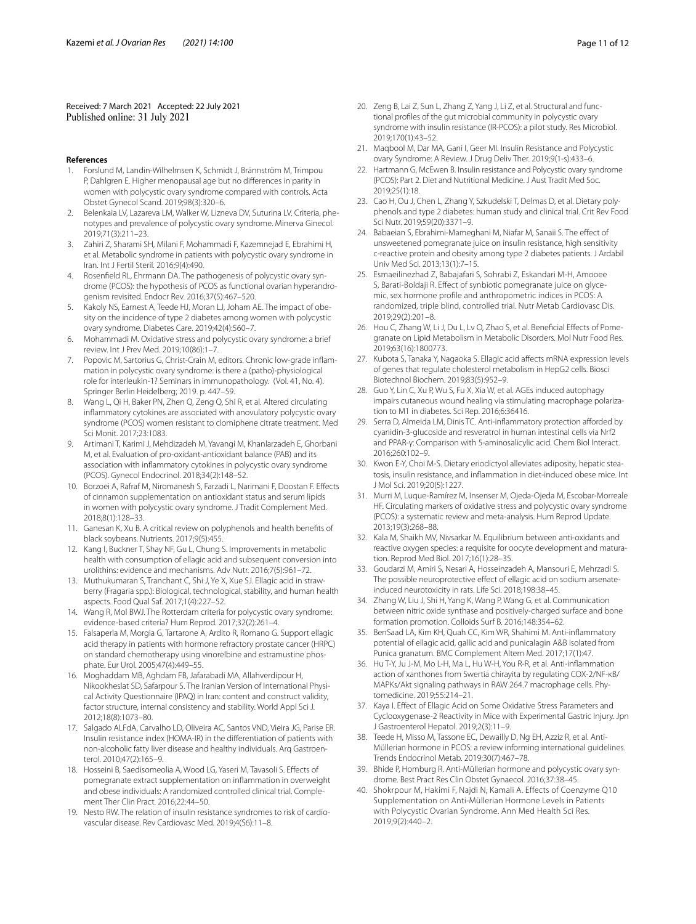Received: 7 March 2021 Accepted: 22 July 2021<br>Published online: 31 July 2021

#### **References**

- <span id="page-10-0"></span>1. Forslund M, Landin-Wilhelmsen K, Schmidt J, Brännström M, Trimpou P, Dahlgren E. Higher menopausal age but no diferences in parity in women with polycystic ovary syndrome compared with controls. Acta Obstet Gynecol Scand. 2019;98(3):320–6.
- <span id="page-10-1"></span>2. Belenkaia LV, Lazareva LM, Walker W, Lizneva DV, Suturina LV. Criteria, phenotypes and prevalence of polycystic ovary syndrome. Minerva Ginecol. 2019;71(3):211–23.
- <span id="page-10-2"></span>3. Zahiri Z, Sharami SH, Milani F, Mohammadi F, Kazemnejad E, Ebrahimi H, et al. Metabolic syndrome in patients with polycystic ovary syndrome in Iran. Int J Fertil Steril. 2016;9(4):490.
- <span id="page-10-3"></span>4. Rosenfeld RL, Ehrmann DA. The pathogenesis of polycystic ovary syndrome (PCOS): the hypothesis of PCOS as functional ovarian hyperandrogenism revisited. Endocr Rev. 2016;37(5):467–520.
- <span id="page-10-4"></span>5. Kakoly NS, Earnest A, Teede HJ, Moran LJ, Joham AE. The impact of obesity on the incidence of type 2 diabetes among women with polycystic ovary syndrome. Diabetes Care. 2019;42(4):560–7.
- <span id="page-10-5"></span>6. Mohammadi M. Oxidative stress and polycystic ovary syndrome: a brief review. Int J Prev Med. 2019;10(86):1–7.
- <span id="page-10-6"></span>7. Popovic M, Sartorius G, Christ-Crain M, editors. Chronic low-grade infammation in polycystic ovary syndrome: is there a (patho)-physiological role for interleukin-1? Seminars in immunopathology. (Vol. 41, No. 4). Springer Berlin Heidelberg; 2019. p. 447–59.
- <span id="page-10-7"></span>8. Wang L, Qi H, Baker PN, Zhen Q, Zeng Q, Shi R, et al. Altered circulating infammatory cytokines are associated with anovulatory polycystic ovary syndrome (PCOS) women resistant to clomiphene citrate treatment. Med Sci Monit. 2017;23:1083.
- <span id="page-10-8"></span>9. Artimani T, Karimi J, Mehdizadeh M, Yavangi M, Khanlarzadeh E, Ghorbani M, et al. Evaluation of pro-oxidant-antioxidant balance (PAB) and its association with infammatory cytokines in polycystic ovary syndrome (PCOS). Gynecol Endocrinol. 2018;34(2):148–52.
- <span id="page-10-9"></span>10. Borzoei A, Rafraf M, Niromanesh S, Farzadi L, Narimani F, Doostan F. Efects of cinnamon supplementation on antioxidant status and serum lipids in women with polycystic ovary syndrome. J Tradit Complement Med. 2018;8(1):128–33.
- <span id="page-10-10"></span>11. Ganesan K, Xu B. A critical review on polyphenols and health benefts of black soybeans. Nutrients. 2017;9(5):455.
- <span id="page-10-11"></span>12. Kang I, Buckner T, Shay NF, Gu L, Chung S. Improvements in metabolic health with consumption of ellagic acid and subsequent conversion into urolithins: evidence and mechanisms. Adv Nutr. 2016;7(5):961–72.
- <span id="page-10-12"></span>13. Muthukumaran S, Tranchant C, Shi J, Ye X, Xue SJ. Ellagic acid in strawberry (Fragaria spp.): Biological, technological, stability, and human health aspects. Food Qual Saf. 2017;1(4):227–52.
- <span id="page-10-13"></span>14. Wang R, Mol BWJ. The Rotterdam criteria for polycystic ovary syndrome: evidence-based criteria? Hum Reprod. 2017;32(2):261–4.
- <span id="page-10-14"></span>15. Falsaperla M, Morgia G, Tartarone A, Ardito R, Romano G. Support ellagic acid therapy in patients with hormone refractory prostate cancer (HRPC) on standard chemotherapy using vinorelbine and estramustine phosphate. Eur Urol. 2005;47(4):449–55.
- <span id="page-10-15"></span>16. Moghaddam MB, Aghdam FB, Jafarabadi MA, Allahverdipour H, Nikookheslat SD, Safarpour S. The Iranian Version of International Physical Activity Questionnaire (IPAQ) in Iran: content and construct validity, factor structure, internal consistency and stability. World Appl Sci J. 2012;18(8):1073–80.
- <span id="page-10-16"></span>17. Salgado ALFdA, Carvalho LD, Oliveira AC, Santos VND, Vieira JG, Parise ER. Insulin resistance index (HOMA-IR) in the diferentiation of patients with non-alcoholic fatty liver disease and healthy individuals. Arq Gastroenterol. 2010;47(2):165–9.
- <span id="page-10-17"></span>18. Hosseini B, Saedisomeolia A, Wood LG, Yaseri M, Tavasoli S. Efects of pomegranate extract supplementation on infammation in overweight and obese individuals: A randomized controlled clinical trial. Complement Ther Clin Pract. 2016;22:44–50.
- <span id="page-10-18"></span>19. Nesto RW. The relation of insulin resistance syndromes to risk of cardiovascular disease. Rev Cardiovasc Med. 2019;4(S6):11–8.
- <span id="page-10-19"></span>20. Zeng B, Lai Z, Sun L, Zhang Z, Yang J, Li Z, et al. Structural and functional profles of the gut microbial community in polycystic ovary syndrome with insulin resistance (IR-PCOS): a pilot study. Res Microbiol. 2019;170(1):43–52.
- <span id="page-10-20"></span>21. Maqbool M, Dar MA, Gani I, Geer MI. Insulin Resistance and Polycystic ovary Syndrome: A Review. J Drug Deliv Ther. 2019;9(1-s):433–6.
- <span id="page-10-21"></span>22. Hartmann G, McEwen B. Insulin resistance and Polycystic ovary syndrome (PCOS): Part 2. Diet and Nutritional Medicine. J Aust Tradit Med Soc. 2019;25(1):18.
- <span id="page-10-22"></span>23. Cao H, Ou J, Chen L, Zhang Y, Szkudelski T, Delmas D, et al. Dietary polyphenols and type 2 diabetes: human study and clinical trial. Crit Rev Food Sci Nutr. 2019;59(20):3371–9.
- <span id="page-10-23"></span>24. Babaeian S, Ebrahimi-Mameghani M, Niafar M, Sanaii S. The effect of unsweetened pomegranate juice on insulin resistance, high sensitivity c-reactive protein and obesity among type 2 diabetes patients. J Ardabil Univ Med Sci. 2013;13(1):7–15.
- <span id="page-10-24"></span>25. Esmaeilinezhad Z, Babajafari S, Sohrabi Z, Eskandari M-H, Amooee S, Barati-Boldaji R. Efect of synbiotic pomegranate juice on glycemic, sex hormone profle and anthropometric indices in PCOS: A randomized, triple blind, controlled trial. Nutr Metab Cardiovasc Dis. 2019;29(2):201–8.
- <span id="page-10-25"></span>26. Hou C, Zhang W, Li J, Du L, Lv O, Zhao S, et al. Benefcial Efects of Pomegranate on Lipid Metabolism in Metabolic Disorders. Mol Nutr Food Res. 2019;63(16):1800773.
- <span id="page-10-26"></span>27. Kubota S, Tanaka Y, Nagaoka S. Ellagic acid afects mRNA expression levels of genes that regulate cholesterol metabolism in HepG2 cells. Biosci Biotechnol Biochem. 2019;83(5):952–9.
- <span id="page-10-27"></span>28. Guo Y, Lin C, Xu P, Wu S, Fu X, Xia W, et al. AGEs induced autophagy impairs cutaneous wound healing via stimulating macrophage polarization to M1 in diabetes. Sci Rep. 2016;6:36416.
- <span id="page-10-28"></span>29. Serra D, Almeida LM, Dinis TC. Anti-inflammatory protection afforded by cyanidin-3-glucoside and resveratrol in human intestinal cells via Nrf2 and PPAR-γ: Comparison with 5-aminosalicylic acid. Chem Biol Interact. 2016;260:102–9.
- <span id="page-10-29"></span>30. Kwon E-Y, Choi M-S. Dietary eriodictyol alleviates adiposity, hepatic steatosis, insulin resistance, and infammation in diet-induced obese mice. Int J Mol Sci. 2019;20(5):1227.
- <span id="page-10-30"></span>31. Murri M, Luque-Ramírez M, Insenser M, Ojeda-Ojeda M, Escobar-Morreale HF. Circulating markers of oxidative stress and polycystic ovary syndrome (PCOS): a systematic review and meta-analysis. Hum Reprod Update. 2013;19(3):268–88.
- <span id="page-10-31"></span>32. Kala M, Shaikh MV, Nivsarkar M. Equilibrium between anti-oxidants and reactive oxygen species: a requisite for oocyte development and maturation. Reprod Med Biol. 2017;16(1):28–35.
- <span id="page-10-32"></span>33. Goudarzi M, Amiri S, Nesari A, Hosseinzadeh A, Mansouri E, Mehrzadi S. The possible neuroprotective effect of ellagic acid on sodium arsenateinduced neurotoxicity in rats. Life Sci. 2018;198:38–45.
- <span id="page-10-33"></span>34. Zhang W, Liu J, Shi H, Yang K, Wang P, Wang G, et al. Communication between nitric oxide synthase and positively-charged surface and bone formation promotion. Colloids Surf B. 2016;148:354–62.
- <span id="page-10-34"></span>35. BenSaad LA, Kim KH, Quah CC, Kim WR, Shahimi M. Anti-infammatory potential of ellagic acid, gallic acid and punicalagin A&B isolated from Punica granatum. BMC Complement Altern Med. 2017;17(1):47.
- <span id="page-10-35"></span>36. Hu T-Y, Ju J-M, Mo L-H, Ma L, Hu W-H, You R-R, et al. Anti-infammation action of xanthones from Swertia chirayita by regulating COX-2/NF-κB/ MAPKs/Akt signaling pathways in RAW 264.7 macrophage cells. Phytomedicine. 2019;55:214–21.
- <span id="page-10-36"></span>37. Kaya I. Efect of Ellagic Acid on Some Oxidative Stress Parameters and Cyclooxygenase-2 Reactivity in Mice with Experimental Gastric Injury. Jpn J Gastroenterol Hepatol. 2019;2(3):11–9.
- <span id="page-10-37"></span>38. Teede H, Misso M, Tassone EC, Dewailly D, Ng EH, Azziz R, et al. Anti-Müllerian hormone in PCOS: a review informing international guidelines. Trends Endocrinol Metab. 2019;30(7):467–78.
- <span id="page-10-38"></span>39. Bhide P, Homburg R. Anti-Müllerian hormone and polycystic ovary syndrome. Best Pract Res Clin Obstet Gynaecol. 2016;37:38–45.
- <span id="page-10-39"></span>40. Shokrpour M, Hakimi F, Najdi N, Kamali A. Effects of Coenzyme Q10 Supplementation on Anti-Müllerian Hormone Levels in Patients with Polycystic Ovarian Syndrome. Ann Med Health Sci Res. 2019;9(2):440–2.